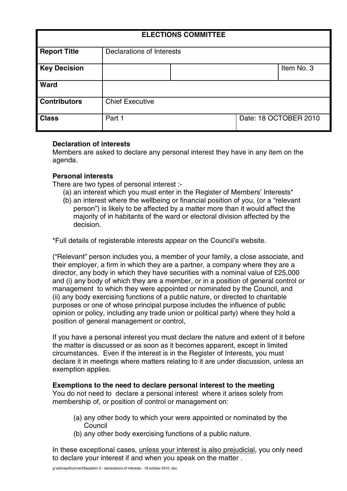| <b>ELECTIONS COMMITTEE</b> |                                  |  |                       |            |
|----------------------------|----------------------------------|--|-----------------------|------------|
| <b>Report Title</b>        | <b>Declarations of Interests</b> |  |                       |            |
| <b>Key Decision</b>        |                                  |  |                       | Item No. 3 |
| <b>Ward</b>                |                                  |  |                       |            |
| <b>Contributors</b>        | <b>Chief Executive</b>           |  |                       |            |
| <b>Class</b>               | Part 1                           |  | Date: 18 OCTOBER 2010 |            |

# **Declaration of interests**

Members are asked to declare any personal interest they have in any item on the agenda.

# **Personal interests**

There are two types of personal interest :-

- (a) an interest which you must enter in the Register of Members' Interests\*
- (b) an interest where the wellbeing or financial position of you, (or a "relevant person") is likely to be affected by a matter more than it would affect the majority of in habitants of the ward or electoral division affected by the decision.

\*Full details of registerable interests appear on the Council's website.

("Relevant" person includes you, a member of your family, a close associate, and their employer, a firm in which they are a partner, a company where they are a director, any body in which they have securities with a nominal value of £25,000 and (i) any body of which they are a member, or in a position of general control or management to which they were appointed or nominated by the Council, and (ii) any body exercising functions of a public nature, or directed to charitable purposes or one of whose principal purpose includes the influence of public opinion or policy, including any trade union or political party) where they hold a position of general management or control,

If you have a personal interest you must declare the nature and extent of it before the matter is discussed or as soon as it becomes apparent, except in limited circumstances. Even if the interest is in the Register of Interests, you must declare it in meetings where matters relating to it are under discussion, unless an exemption applies.

# **Exemptions to the need to declare personal interest to the meeting**

You do not need to declare a personal interest where it arises solely from membership of, or position of control or management on:

- (a) any other body to which your were appointed or nominated by the Council
- (b) any other body exercising functions of a public nature.

In these exceptional cases, unless your interest is also prejudicial, you only need to declare your interest if and when you speak on the matter .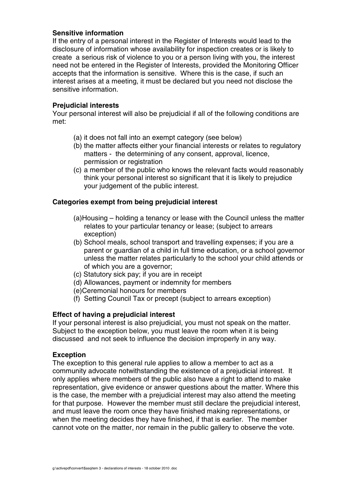# **Sensitive information**

If the entry of a personal interest in the Register of Interests would lead to the disclosure of information whose availability for inspection creates or is likely to create a serious risk of violence to you or a person living with you, the interest need not be entered in the Register of Interests, provided the Monitoring Officer accepts that the information is sensitive. Where this is the case, if such an interest arises at a meeting, it must be declared but you need not disclose the sensitive information.

## **Prejudicial interests**

Your personal interest will also be prejudicial if all of the following conditions are met:

- (a) it does not fall into an exempt category (see below)
- (b) the matter affects either your financial interests or relates to regulatory matters - the determining of any consent, approval, licence, permission or registration
- (c) a member of the public who knows the relevant facts would reasonably think your personal interest so significant that it is likely to prejudice your judgement of the public interest.

# **Categories exempt from being prejudicial interest**

- (a)Housing holding a tenancy or lease with the Council unless the matter relates to your particular tenancy or lease; (subject to arrears exception)
- (b) School meals, school transport and travelling expenses; if you are a parent or guardian of a child in full time education, or a school governor unless the matter relates particularly to the school your child attends or of which you are a governor;
- (c) Statutory sick pay; if you are in receipt
- (d) Allowances, payment or indemnity for members
- (e)Ceremonial honours for members
- (f) Setting Council Tax or precept (subject to arrears exception)

# **Effect of having a prejudicial interest**

If your personal interest is also prejudicial, you must not speak on the matter. Subject to the exception below, you must leave the room when it is being discussed and not seek to influence the decision improperly in any way.

#### **Exception**

The exception to this general rule applies to allow a member to act as a community advocate notwithstanding the existence of a prejudicial interest. It only applies where members of the public also have a right to attend to make representation, give evidence or answer questions about the matter. Where this is the case, the member with a prejudicial interest may also attend the meeting for that purpose. However the member must still declare the prejudicial interest, and must leave the room once they have finished making representations, or when the meeting decides they have finished, if that is earlier. The member cannot vote on the matter, nor remain in the public gallery to observe the vote.